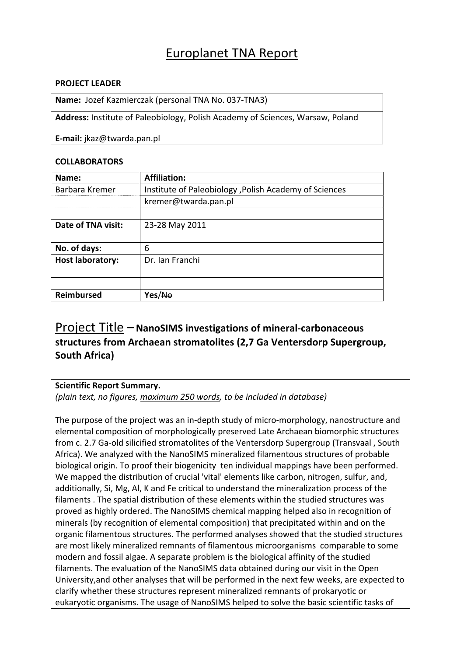## Europlanet TNA Report

### **PROJECT LEADER**

**Name:** Jozef Kazmierczak (personal TNA No. 037‐TNA3)

**Address:** Institute of Paleobiology, Polish Academy of Sciences, Warsaw, Poland

**E‐mail:** jkaz@twarda.pan.pl

### **COLLABORATORS**

| Name:                   | <b>Affiliation:</b>                                    |
|-------------------------|--------------------------------------------------------|
| Barbara Kremer          | Institute of Paleobiology , Polish Academy of Sciences |
|                         | kremer@twarda.pan.pl                                   |
|                         |                                                        |
| Date of TNA visit:      | 23-28 May 2011                                         |
|                         |                                                        |
| No. of days:            | 6                                                      |
| <b>Host laboratory:</b> | Dr. Ian Franchi                                        |
|                         |                                                        |
|                         |                                                        |
| <b>Reimbursed</b>       | Yes/ <del>No</del>                                     |

### Project Title – **NanoSIMS investigations of mineral‐carbonaceous structures from Archaean stromatolites (2,7 Ga Ventersdorp Supergroup, South Africa)**

#### **Scientific Report Summary.**

*(plain text, no figures, maximum 250 words, to be included in database)*

The purpose of the project was an in‐depth study of micro‐morphology, nanostructure and elemental composition of morphologically preserved Late Archaean biomorphic structures from c. 2.7 Ga‐old silicified stromatolites of the Ventersdorp Supergroup (Transvaal , South Africa). We analyzed with the NanoSIMS mineralized filamentous structures of probable biological origin. To proof their biogenicity ten individual mappings have been performed. We mapped the distribution of crucial 'vital' elements like carbon, nitrogen, sulfur, and, additionally, Si, Mg, Al, K and Fe critical to understand the mineralization process of the filaments . The spatial distribution of these elements within the studied structures was proved as highly ordered. The NanoSIMS chemical mapping helped also in recognition of minerals (by recognition of elemental composition) that precipitated within and on the organic filamentous structures. The performed analyses showed that the studied structures are most likely mineralized remnants of filamentous microorganisms comparable to some modern and fossil algae. A separate problem is the biological affinity of the studied filaments. The evaluation of the NanoSIMS data obtained during our visit in the Open University,and other analyses that will be performed in the next few weeks, are expected to clarify whether these structures represent mineralized remnants of prokaryotic or eukaryotic organisms. The usage of NanoSIMS helped to solve the basic scientific tasks of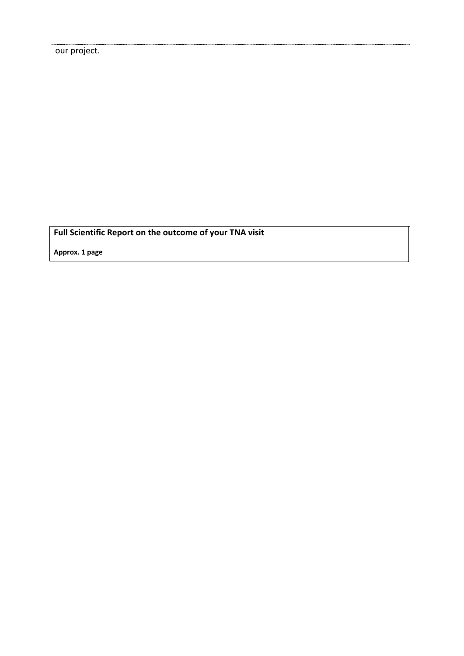**Full Scientific Report on the outcome of your TNA visit**

**Approx. 1 page**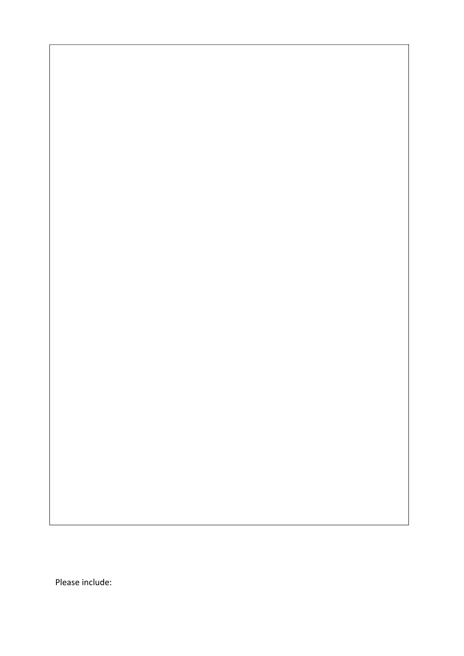Please include: